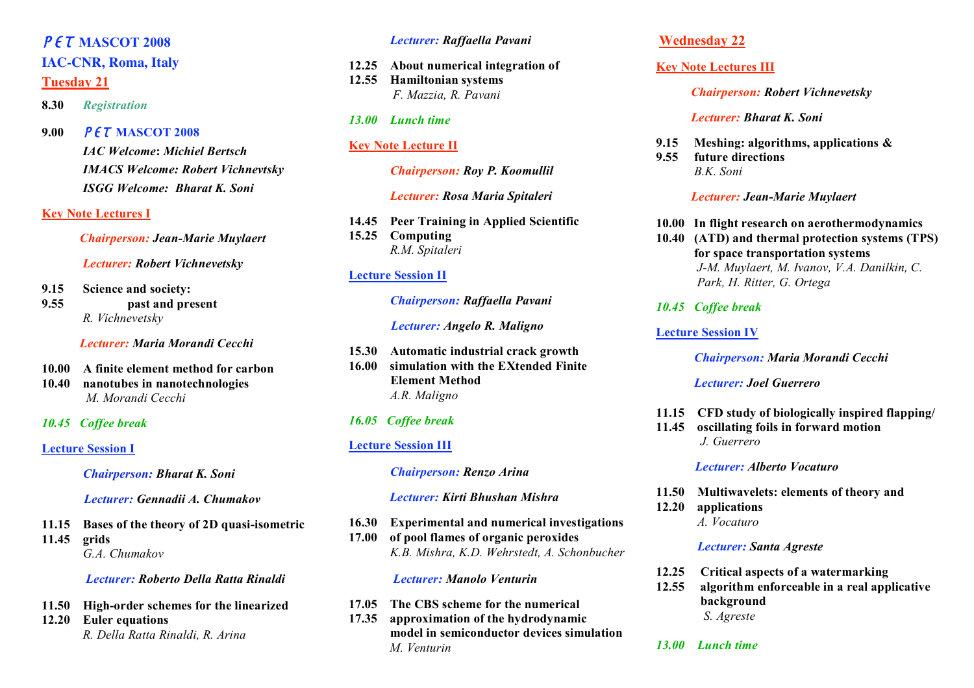# PET **MASCOT 2008**

#### **IAC-CNR, Roma, Italy**

#### **Tuesday 21**

**8.30** *Registration*

**9.00** PET **MASCOT 2008**

*IAC Welcome***:** *Michiel Bertsch IMACS Welcome: Robert Vichnevtsky ISGG Welcome: Bharat K. Soni*

#### **Key Note Lectures I**

*Chairperson: Jean-Marie Muylaert*

*Lecturer: Robert Vichnevetsky*

- **9.15 Science and society:**
- **9.55 past and present** *R. Vichnevetsky*

*Lecturer: Maria Morandi Cecchi*

- **10.00 A finite element method for carbon**
- **10.40 nanotubes in nanotechnologies** *M. Morandi Cecchi*
- *10.45 Coffee break*

#### **Lecture Session I**

*Chairperson: Bharat K. Soni*

*Lecturer: Gennadii A. Chumakov*

**11.15 Bases of the theory of 2D quasi-isometric 11.45 grids** *G.A. Chumakov*

#### *Lecturer: Roberto Della Ratta Rinaldi*

- **11.50 High-order schemes for the linearized**
- **12.20 Euler equations** *R. Della Ratta Rinaldi, R. Arina*

#### *Lecturer: Raffaella Pavani*

**12.25 About numerical integration of 12.55 Hamiltonian systems** *F. Mazzia, R. Pavani*

#### *13.00 Lunch time*

## **Key Note Lecture II**

*Chairperson: Roy P. Koomullil*

*Lecturer: Rosa Maria Spitaleri*

**14.45 Peer Training in Applied Scientific**

**15.25 Computing** *R.M. Spitaleri*

#### **Lecture Session II**

#### *Chairperson: Raffaella Pavani*

#### *Lecturer: Angelo R. Maligno*

**15.30 Automatic industrial crack growth 16.00 simulation with the EXtended Finite Element Method** *A.R. Maligno*

### *16.05 Coffee break*

### **Lecture Session III**

#### *Chairperson: Renzo Arina*

*Lecturer: Kirti Bhushan Mishra*

#### **16.30 Experimental and numerical investigations 17.00 of pool flames of organic peroxides** *K.B. Mishra, K.D. Wehrstedt, A. Schonbucher*

#### *Lecturer: Manolo Venturin*

- **17.05 The CBS scheme for the numerical**
- **17.35 approximation of the hydrodynamic model in semiconductor devices simulation** *M. Venturin*

## **Wednesday 22**

## **Key Note Lectures III**

#### *Chairperson: Robert Vichnevetsky*

#### *Lecturer: Bharat K. Soni*

- **9.15 Meshing: algorithms, applications &**
- **9.55 future directions** *B.K. Soni*

#### *Lecturer: Jean-Marie Muylaert*

- **10.00 In flight research on aerothermodynamics**
- **10.40 (ATD) and thermal protection systems (TPS) for space transportation systems** *J-M. Muylaert, M. Ivanov, V.A. Danilkin, C. Park, H. Ritter, G. Ortega*

## *10.45 Coffee break*

#### **Lecture Session IV**

#### *Chairperson: Maria Morandi Cecchi*

#### *Lecturer: Joel Guerrero*

- **11.15 CFD study of biologically inspired flapping/**
- **11.45 oscillating foils in forward motion** *J. Guerrero*

### *Lecturer: Alberto Vocaturo*

- **11.50 Multiwavelets: elements of theory and**
- **12.20 applications** *A. Vocaturo*

#### *Lecturer: Santa Agreste*

- **12.25 Critical aspects of a watermarking**
- **12.55 algorithm enforceable in a real applicative background** *S. Agreste*
- *13.00 Lunch time*